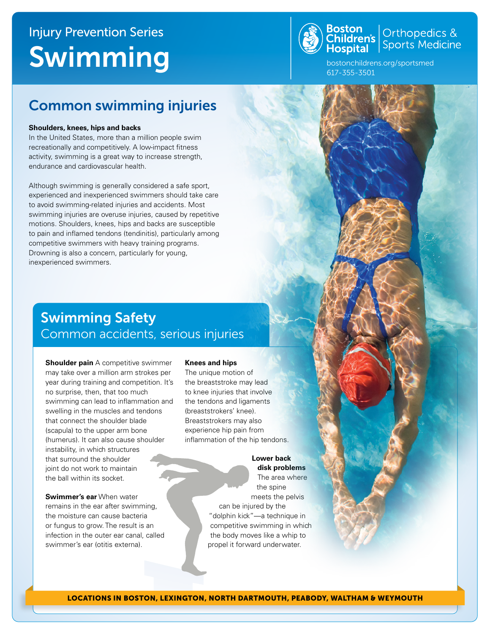# Injury Prevention Series Swimming



**Boston**<br>Children's Sports Medicine

bostonchildrens.org/sportsmed 617-355-3501

### Common swimming injuries

### **Shoulders, knees, hips and backs**

In the United States, more than a million people swim recreationally and competitively. A low-impact fitness activity, swimming is a great way to increase strength, endurance and cardiovascular health.

Although swimming is generally considered a safe sport, experienced and inexperienced swimmers should take care to avoid swimming-related injuries and accidents. Most swimming injuries are overuse injuries, caused by repetitive motions. Shoulders, knees, hips and backs are susceptible to pain and inflamed tendons (tendinitis), particularly among competitive swimmers with heavy training programs. Drowning is also a concern, particularly for young, inexperienced swimmers.

## Swimming Safety Common accidents, serious injuries

**Shoulder pain** A competitive swimmer may take over a million arm strokes per year during training and competition. It's no surprise, then, that too much swimming can lead to inflammation and swelling in the muscles and tendons that connect the shoulder blade (scapula) to the upper arm bone (humerus). It can also cause shoulder instability, in which structures that surround the shoulder joint do not work to maintain the ball within its socket.

**Swimmer's ear** When water remains in the ear after swimming, the moisture can cause bacteria or fungus to grow. The result is an infection in the outer ear canal, called swimmer's ear (otitis externa).

#### **Knees and hips**

The unique motion of the breaststroke may lead to knee injuries that involve the tendons and ligaments (breaststrokers' knee). Breaststrokers may also experience hip pain from infammation of the hip tendons.

> **Lower back disk problems** The area where the spine meets the pelvis can be injured by the "dolphin kick"—a technique in competitive swimming in which the body moves like a whip to propel it forward underwater.

LOCATIONS IN BOSTON, LEXINGTON, NORTH DARTMOUTH, PEABODY, WALTHAM & WEYMOUTH